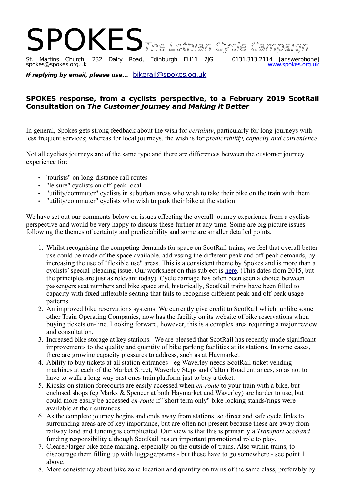## SPOKES The Lothian Cycle Campaign<br>St. Martins Church, 232 Dalry Road, Edinburgh EH11 2JG 0131.313.2114 [answerphone] 232 Dalry Road, Edinburgh EH11 2JG 0131.313.2114 [answerphone]<br>www.spokes.org.uk St. Martins Church,<br>spokes@spokes.org.uk

**If replying by email, please use...** [bikerail@spokes.og.uk](mailto:bikerail@spokes.og.uk)

## **SPOKES response, from a cyclists perspective, to a February 2019 ScotRail Consultation on The Customer Journey and Making it Better**

In general, Spokes gets strong feedback about the wish for *certainty*, particularly for long journeys with less frequent services; whereas for local journeys, the wish is for *predictability, capacity and convenience*.

Not all cyclists journeys are of the same type and there are differences between the customer journey experience for:

- 'tourists" on long-distance rail routes
- "leisure" cyclists on off-peak local
- "utility/commuter" cyclists in suburban areas who wish to take their bike on the train with them
- "utility/commuter" cyclists who wish to park their bike at the station.

We have set out our comments below on issues effecting the overall journey experience from a cyclists perspective and would be very happy to discuss these further at any time. Some are big picture issues following the themes of certainty and predictability and some are smaller detailed points,

- 1. Whilst recognising the competing demands for space on ScotRail trains, we feel that overall better use could be made of the space available, addressing the different peak and off-peak demands, by increasing the use of "flexible use" areas. This is a consistent theme by Spokes and is more than a cyclists' special-pleading issue. Our worksheet on this subject is [here.](http://www.spokes.org.uk/2015/10/scotrail-fight-for-flexible-space/) (This dates from 2015, but the principles are just as relevant today). Cycle carriage has often been seen a choice between passengers seat numbers and bike space and, historically, ScotRail trains have been filled to capacity with fixed inflexible seating that fails to recognise different peak and off-peak usage patterns.
- 2. An improved bike reservations systems. We currently give credit to ScotRail which, unlike some other Train Operating Companies, now has the facility on its website of bike reservations when buying tickets on-line. Looking forward, however, this is a complex area requiring a major review and consultation.
- 3. Increased bike storage at key stations. We are pleased that ScotRail has recently made significant improvements to the quality and quantity of bike parking facilities at its stations. In some cases, there are growing capacity pressures to address, such as at Haymarket.
- 4. Ability to buy tickets at all station entrances eg Waverley needs ScotRail ticket vending machines at each of the Market Street, Waverley Steps and Calton Road entrances, so as not to have to walk a long way past ones train platform just to buy a ticket.
- 5. Kiosks on station forecourts are easily accessed when *en-route* to your train with a bike, but enclosed shops (eg Marks & Spencer at both Haymarket and Waverley) are harder to use, but could more easily be accessed *en-route* if "short term only" bike locking stands/rings were available at their entrances.
- 6. As the complete journey begins and ends away from stations, so direct and safe cycle links to surrounding areas are of key importance, but are often not present because these are away from railway land and funding is complicated. Our view is that this is primarily a *Transport Scotland* funding responsibility although ScotRail has an important promotional role to play.
- 7. Clearer/larger bike zone marking, especially on the outside of trains. Also within trains, to discourage them filling up with luggage/prams - but these have to go somewhere - see point 1 above.
- 8. More consistency about bike zone location and quantity on trains of the same class, preferably by